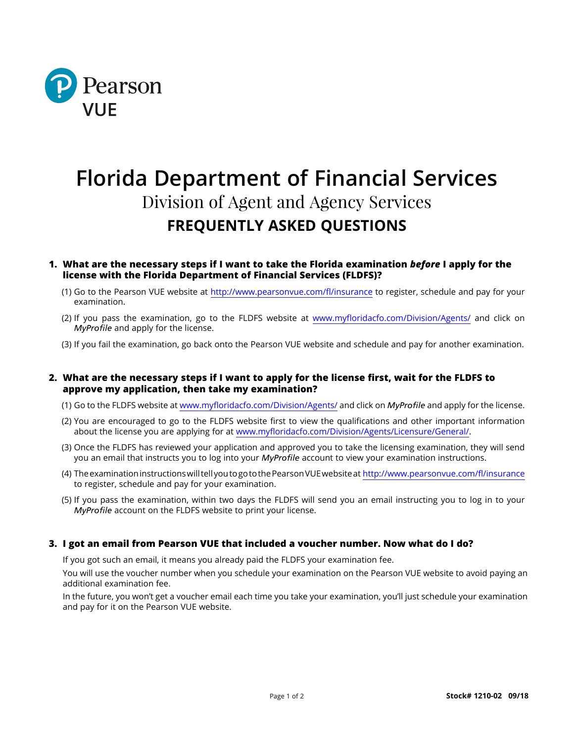

# **Florida Department of Financial Services** Division of Agent and Agency Services **FREQUENTLY ASKED QUESTIONS**

## **1. What are the necessary steps if I want to take the Florida examination** *before* **I apply for the license with the Florida Department of Financial Services (FLDFS)?**

- (1) Go to the Pearson VUE website at [http://www.pearsonvue.com/fl/insurance](http://www.pearsonvue.com/fl/insurance/) to register, schedule and pay for your examination.
- (2) If you pass the examination, go to the FLDFS website at www.myfloridacfo.com/Division/Agents/ and click on *MyProfile* and apply for the license.
- (3) If you fail the examination, go back onto the Pearson VUE website and schedule and pay for another examination.

## **2. What are the necessary steps if I want to apply for the license first, wait for the FLDFS to approve my application, then take my examination?**

- (1) Go to the FLDFS website at www.myfloridacfo.com/Division/Agents/ and click on *MyProfile* and apply for the license.
- (2) You are encouraged to go to the FLDFS website first to view the qualifications and other important information about the license you are applying for at www.myfloridacfo.com/Division/Agents/Licensure/General/.
- (3) Once the FLDFS has reviewed your application and approved you to take the licensing examination, they will send you an email that instructs you to log into your *MyProfile* account to view your examination instructions.
- (4) The examination instructions will tell you to go to the Pearson VUE website at [http://www.pearsonvue.com/fl/insurance](http://www.pearsonvue.com/fl/insurance/) to register, schedule and pay for your examination.
- (5) If you pass the examination, within two days the FLDFS will send you an email instructing you to log in to your *MyProfile* account on the FLDFS website to print your license.

### **3. I got an email from Pearson VUE that included a voucher number. Now what do I do?**

If you got such an email, it means you already paid the FLDFS your examination fee.

You will use the voucher number when you schedule your examination on the Pearson VUE website to avoid paying an additional examination fee.

In the future, you won't get a voucher email each time you take your examination, you'll just schedule your examination and pay for it on the Pearson VUE website.